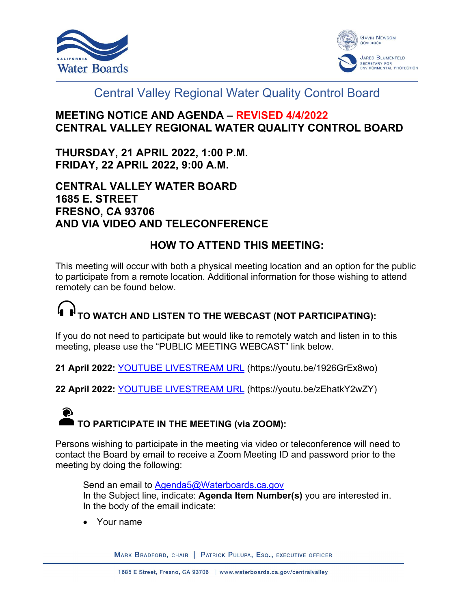



# Central Valley Regional Water Quality Control Board

## **MEETING NOTICE AND AGENDA – REVISED 4/4/2022 CENTRAL VALLEY REGIONAL WATER QUALITY CONTROL BOARD**

**THURSDAY, 21 APRIL 2022, 1:00 P.M. FRIDAY, 22 APRIL 2022, 9:00 A.M.**

## **CENTRAL VALLEY WATER BOARD 1685 E. STREET FRESNO, CA 93706 AND VIA VIDEO AND TELECONFERENCE**

## **HOW TO ATTEND THIS MEETING:**

This meeting will occur with both a physical meeting location and an option for the public to participate from a remote location. Additional information for those wishing to attend remotely can be found below.

# **TO WATCH AND LISTEN TO THE WEBCAST (NOT PARTICIPATING):**

If you do not need to participate but would like to remotely watch and listen in to this meeting, please use the "PUBLIC MEETING WEBCAST" link below.

**21 April 2022:** [YOUTUBE LIVESTREAM URL](https://youtu.be/1926GrEx8wo) (https://youtu.be/1926GrEx8wo)

**22 April 2022:** [YOUTUBE LIVESTREAM URL](https://youtu.be/zEhatkY2wZY) (https://youtu.be/zEhatkY2wZY)

# ◉ **TO PARTICIPATE IN THE MEETING (via ZOOM):**

Persons wishing to participate in the meeting via video or teleconference will need to contact the Board by email to receive a Zoom Meeting ID and password prior to the meeting by doing the following:

Send an email to **Agenda5@Waterboards.ca.gov** In the Subject line, indicate: **Agenda Item Number(s)** you are interested in. In the body of the email indicate:

· Your name

MARK BRADFORD, CHAIR | PATRICK PULUPA, ESQ., EXECUTIVE OFFICER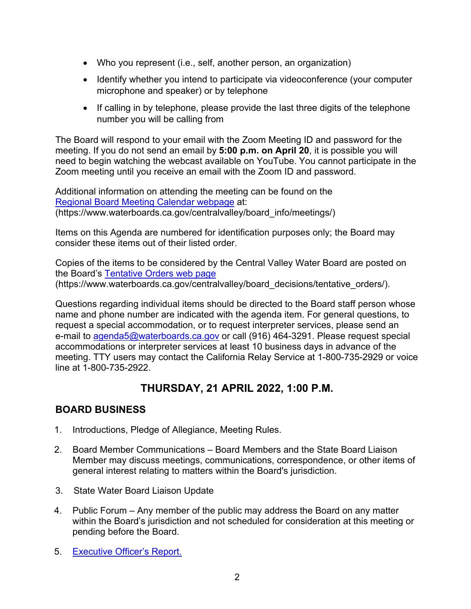- · Who you represent (i.e., self, another person, an organization)
- · Identify whether you intend to participate via videoconference (your computer microphone and speaker) or by telephone
- · If calling in by telephone, please provide the last three digits of the telephone number you will be calling from

The Board will respond to your email with the Zoom Meeting ID and password for the meeting. If you do not send an email by **5:00 p.m. on April 20**, it is possible you will need to begin watching the webcast available on YouTube. You cannot participate in the Zoom meeting until you receive an email with the Zoom ID and password.

Additional information on attending the meeting can be found on the [Regional Board Meeting Calendar webpage](https://www.waterboards.ca.gov/centralvalley/board_info/meetings/) at: (https://www.waterboards.ca.gov/centralvalley/board\_info/meetings/)

Items on this Agenda are numbered for identification purposes only; the Board may consider these items out of their listed order.

Copies of the items to be considered by the Central Valley Water Board are posted on the Board's [Tentative Orders web page](http://www.waterboards.ca.gov/centralvalley/board_decisions/tentative_orders/) (https://www.waterboards.ca.gov/centralvalley/board\_decisions/tentative\_orders/).

Questions regarding individual items should be directed to the Board staff person whose name and phone number are indicated with the agenda item. For general questions, to request a special accommodation, or to request interpreter services, please send an e-mail to [agenda5@waterboards.ca.gov](mailto:agenda5@waterboards.ca.gov) or call (916) 464-3291. Please request special accommodations or interpreter services at least 10 business days in advance of the meeting. TTY users may contact the California Relay Service at 1-800-735-2929 or voice line at 1-800-735-2922.

## **THURSDAY, 21 APRIL 2022, 1:00 P.M.**

## **BOARD BUSINESS**

- 1. Introductions, Pledge of Allegiance, Meeting Rules.
- 2. Board Member Communications Board Members and the State Board Liaison Member may discuss meetings, communications, correspondence, or other items of general interest relating to matters within the Board's jurisdiction.
- 3. State Water Board Liaison Update
- 4. Public Forum Any member of the public may address the Board on any matter within the Board's jurisdiction and not scheduled for consideration at this meeting or pending before the Board.
- 5. [Executive Officer's Report.](https://www.waterboards.ca.gov/centralvalley/board_decisions/tentative_orders/2204/#5)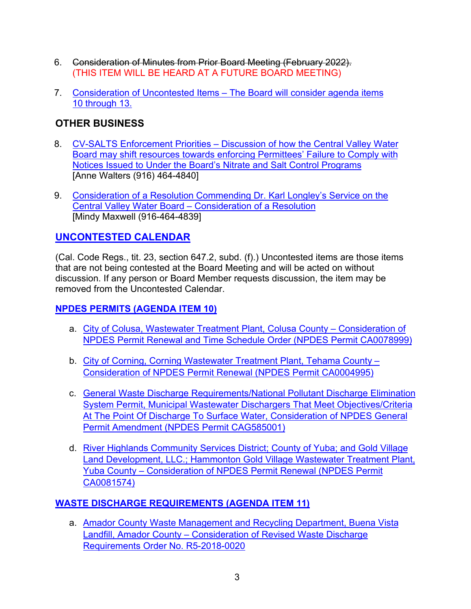- 6. Consideration of Minutes from Prior Board Meeting (February 2022). (THIS ITEM WILL BE HEARD AT A FUTURE BOARD MEETING)
- 7. Consideration of Uncontested Items [The Board will consider agenda items](https://www.waterboards.ca.gov/centralvalley/board_decisions/tentative_orders/2204/#7)  10 [through 13.](https://www.waterboards.ca.gov/centralvalley/board_decisions/tentative_orders/2204/#7)

## **OTHER BUSINESS**

- 8. CV-SALTS Enforcement Priorities [Discussion of how the Central Valley Water](https://www.waterboards.ca.gov/centralvalley/board_decisions/tentative_orders/2204/#8)  [Board may shift resources towards enforcing Permittees' Failure to Comply with](https://www.waterboards.ca.gov/centralvalley/board_decisions/tentative_orders/2204/#8)  [Notices Issued to Under the Board's Nitrate and Salt Control Programs](https://www.waterboards.ca.gov/centralvalley/board_decisions/tentative_orders/2204/#8) [Anne Walters (916) 464-4840]
- 9. [Consideration of a Resolution Commending Dr. Karl Longley's Service on the](https://www.waterboards.ca.gov/centralvalley/board_decisions/tentative_orders/2204/#9)  Central Valley Water Board – [Consideration of a Resolution](https://www.waterboards.ca.gov/centralvalley/board_decisions/tentative_orders/2204/#9) [Mindy Maxwell (916-464-4839]

## **[UNCONTESTED CALENDAR](https://www.waterboards.ca.gov/centralvalley/board_decisions/tentative_orders/2204/#uncontested)**

(Cal. Code Regs., tit. 23, section 647.2, subd. (f).) Uncontested items are those items that are not being contested at the Board Meeting and will be acted on without discussion. If any person or Board Member requests discussion, the item may be removed from the Uncontested Calendar.

#### **[NPDES PERMITS \(AGENDA ITEM 10\)](https://www.waterboards.ca.gov/centralvalley/board_decisions/tentative_orders/2204/#10)**

- a. [City of Colusa, Wastewater Treatment Plant, Colusa County –](https://www.waterboards.ca.gov/centralvalley/board_decisions/tentative_orders/2204/#10a) Consideration of [NPDES Permit Renewal and Time Schedule Order \(NPDES Permit CA0078999\)](https://www.waterboards.ca.gov/centralvalley/board_decisions/tentative_orders/2204/#10a)
- b. [City of Corning, Corning Wastewater Treatment Plant, Tehama County –](https://www.waterboards.ca.gov/centralvalley/board_decisions/tentative_orders/2204/#10b) [Consideration of NPDES Permit Renewal \(NPDES Permit CA0004995\)](https://www.waterboards.ca.gov/centralvalley/board_decisions/tentative_orders/2204/#10b)
- c. [General Waste Discharge Requirements/National Pollutant Discharge Elimination](https://www.waterboards.ca.gov/centralvalley/board_decisions/tentative_orders/2204/#10c)  [System Permit, Municipal Wastewater Dischargers That Meet Objectives/Criteria](https://www.waterboards.ca.gov/centralvalley/board_decisions/tentative_orders/2204/#10c)  At The Point Of Discharge To Surface Water, Consideration of NPDES General [Permit Amendment \(NPDES Permit CAG585001\)](https://www.waterboards.ca.gov/centralvalley/board_decisions/tentative_orders/2204/#10c)
- d. [River Highlands Community Services District; County of Yuba; and Gold Village](https://www.waterboards.ca.gov/centralvalley/board_decisions/tentative_orders/2204/#10d)  [Land Development, LLC.; Hammonton Gold Village Wastewater Treatment Plant,](https://www.waterboards.ca.gov/centralvalley/board_decisions/tentative_orders/2204/#10d)  Yuba County – [Consideration of NPDES Permit Renewal \(NPDES Permit](https://www.waterboards.ca.gov/centralvalley/board_decisions/tentative_orders/2204/#10d)  [CA0081574\)](https://www.waterboards.ca.gov/centralvalley/board_decisions/tentative_orders/2204/#10d)

#### **[WASTE DISCHARGE REQUIREMENTS \(AGENDA ITEM 11\)](https://www.waterboards.ca.gov/centralvalley/board_decisions/tentative_orders/2204/#11)**

a. [Amador County Waste Management and Recycling Department, Buena Vista](https://www.waterboards.ca.gov/centralvalley/board_decisions/tentative_orders/2204/#11a)  Landfill, Amador County - Consideration of Revised Waste Discharge [Requirements Order No. R5-2018-0020](https://www.waterboards.ca.gov/centralvalley/board_decisions/tentative_orders/2204/#11a)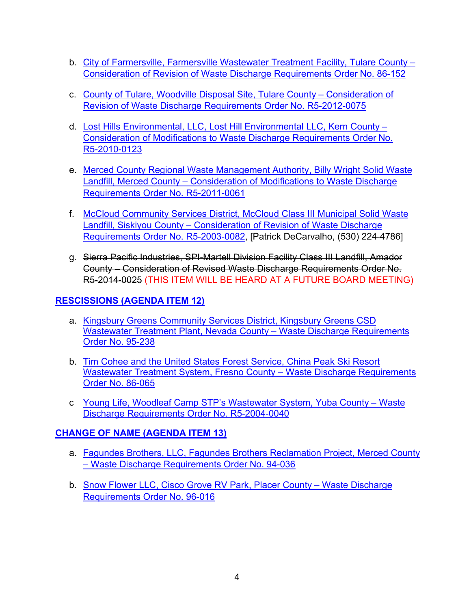- b. [City of Farmersville, Farmersville Wastewater Treatment Facility, Tulare County –](https://www.waterboards.ca.gov/centralvalley/board_decisions/tentative_orders/2204/#11b) [Consideration of Revision of Waste Discharge Requirements Order No. 86-152](https://www.waterboards.ca.gov/centralvalley/board_decisions/tentative_orders/2204/#11b)
- c. [County of Tulare, Woodville Disposal Site, Tulare County –](https://www.waterboards.ca.gov/centralvalley/board_decisions/tentative_orders/2204/#11c) Consideration of [Revision of Waste Discharge Requirements Order No. R5-2012-0075](https://www.waterboards.ca.gov/centralvalley/board_decisions/tentative_orders/2204/#11c)
- d. [Lost Hills Environmental, LLC, Lost Hill Environmental LLC, Kern County –](https://www.waterboards.ca.gov/centralvalley/board_decisions/tentative_orders/2204/#11d) [Consideration of Modifications to Waste Discharge Requirements Order No.](https://www.waterboards.ca.gov/centralvalley/board_decisions/tentative_orders/2204/#11d) [R5-2010-0123](https://www.waterboards.ca.gov/centralvalley/board_decisions/tentative_orders/2204/#11d)
- e. [Merced County Regional Waste Management Authority, Billy Wright Solid Waste](https://www.waterboards.ca.gov/centralvalley/board_decisions/tentative_orders/2204/#11e)  Landfill, Merced County – [Consideration of Modifications to Waste Discharge](https://www.waterboards.ca.gov/centralvalley/board_decisions/tentative_orders/2204/#11e)  [Requirements Order No. R5-2011-0061](https://www.waterboards.ca.gov/centralvalley/board_decisions/tentative_orders/2204/#11e)
- f. [McCloud Community Services District, McCloud Class III Municipal Solid Waste](https://www.waterboards.ca.gov/centralvalley/board_decisions/tentative_orders/2204/#11f)  Landfill, Siskiyou County – [Consideration of Revision of Waste Discharge](https://www.waterboards.ca.gov/centralvalley/board_decisions/tentative_orders/2204/#11f)  [Requirements Order No. R5-2003-0082,](https://www.waterboards.ca.gov/centralvalley/board_decisions/tentative_orders/2204/#11f) [Patrick DeCarvalho, (530) 224-4786]
- g. Sierra Pacific Industries, SPI-Martell Division Facility Class III Landfill, Amador County – Consideration of Revised Waste Discharge Requirements Order No. R5-2014-0025 (THIS ITEM WILL BE HEARD AT A FUTURE BOARD MEETING)

#### **[RESCISSIONS \(AGENDA ITEM 12\)](https://www.waterboards.ca.gov/centralvalley/board_decisions/tentative_orders/2204/#12)**

- a. [Kingsbury Greens Community Services District, Kingsbury Greens CSD](https://www.waterboards.ca.gov/centralvalley/board_decisions/tentative_orders/2204/#12a)  [Wastewater Treatment Plant, Nevada County –](https://www.waterboards.ca.gov/centralvalley/board_decisions/tentative_orders/2204/#12a) Waste Discharge Requirements [Order No. 95-238](https://www.waterboards.ca.gov/centralvalley/board_decisions/tentative_orders/2204/#12a)
- b. [Tim Cohee and the United States Forest Service, China Peak Ski Resort](https://www.waterboards.ca.gov/centralvalley/board_decisions/tentative_orders/2204/#12b)  [Wastewater Treatment System, Fresno County –](https://www.waterboards.ca.gov/centralvalley/board_decisions/tentative_orders/2204/#12b) Waste Discharge Requirements [Order No. 86-065](https://www.waterboards.ca.gov/centralvalley/board_decisions/tentative_orders/2204/#12b)
- c [Young Life, Woodleaf Camp STP's Wastewater System, Yuba County –](https://www.waterboards.ca.gov/centralvalley/board_decisions/tentative_orders/2204/#12c) Waste [Discharge Requirements Order No. R5-2004-0040](https://www.waterboards.ca.gov/centralvalley/board_decisions/tentative_orders/2204/#12c)

#### **[CHANGE OF NAME \(AGENDA ITEM 13\)](https://www.waterboards.ca.gov/centralvalley/board_decisions/tentative_orders/2204/#13)**

- a. [Fagundes Brothers, LLC, Fagundes Brothers Reclamation Project, Merced County](https://www.waterboards.ca.gov/centralvalley/board_decisions/tentative_orders/2204/#13a) – [Waste Discharge Requirements Order](https://www.waterboards.ca.gov/centralvalley/board_decisions/tentative_orders/2204/#13a) No. 94-036
- b. [Snow Flower LLC, Cisco Grove RV Park, Placer County](https://www.waterboards.ca.gov/centralvalley/board_decisions/tentative_orders/2204/#13b) Waste Discharge [Requirements Order](https://www.waterboards.ca.gov/centralvalley/board_decisions/tentative_orders/2204/#13b) No. 96-016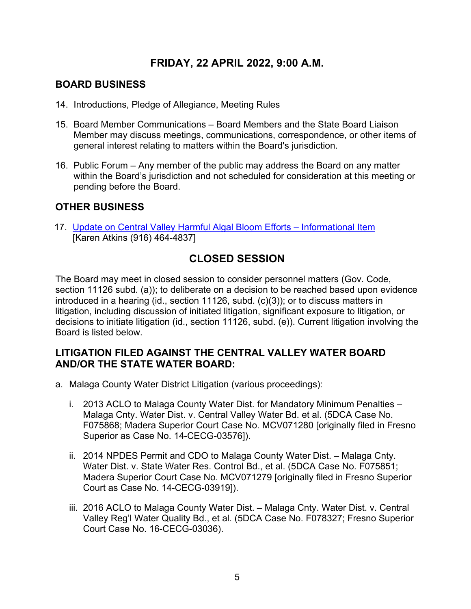## **FRIDAY, 22 APRIL 2022, 9:00 A.M.**

#### **BOARD BUSINESS**

- 14. Introductions, Pledge of Allegiance, Meeting Rules
- 15. Board Member Communications Board Members and the State Board Liaison Member may discuss meetings, communications, correspondence, or other items of general interest relating to matters within the Board's jurisdiction.
- 16. Public Forum Any member of the public may address the Board on any matter within the Board's jurisdiction and not scheduled for consideration at this meeting or pending before the Board.

#### **OTHER BUSINESS**

17. [Update on Central Valley Harmful Algal Bloom Efforts –](https://www.waterboards.ca.gov/centralvalley/board_decisions/tentative_orders/2204/#17) Informational Item [Karen Atkins (916) 464-4837]

## **CLOSED SESSION**

The Board may meet in closed session to consider personnel matters (Gov. Code, section 11126 subd. (a)); to deliberate on a decision to be reached based upon evidence introduced in a hearing (id., section 11126, subd. (c)(3)); or to discuss matters in litigation, including discussion of initiated litigation, significant exposure to litigation, or decisions to initiate litigation (id., section 11126, subd. (e)). Current litigation involving the Board is listed below.

#### **LITIGATION FILED AGAINST THE CENTRAL VALLEY WATER BOARD AND/OR THE STATE WATER BOARD:**

- a. Malaga County Water District Litigation (various proceedings):
	- i. 2013 ACLO to Malaga County Water Dist. for Mandatory Minimum Penalties Malaga Cnty. Water Dist. v. Central Valley Water Bd. et al. (5DCA Case No. F075868; Madera Superior Court Case No. MCV071280 [originally filed in Fresno Superior as Case No. 14-CECG-03576]).
	- ii. 2014 NPDES Permit and CDO to Malaga County Water Dist. Malaga Cnty. Water Dist. v. State Water Res. Control Bd., et al. (5DCA Case No. F075851; Madera Superior Court Case No. MCV071279 [originally filed in Fresno Superior Court as Case No. 14-CECG-03919]).
	- iii. 2016 ACLO to Malaga County Water Dist. Malaga Cnty. Water Dist. v. Central Valley Reg'l Water Quality Bd., et al. (5DCA Case No. F078327; Fresno Superior Court Case No. 16-CECG-03036).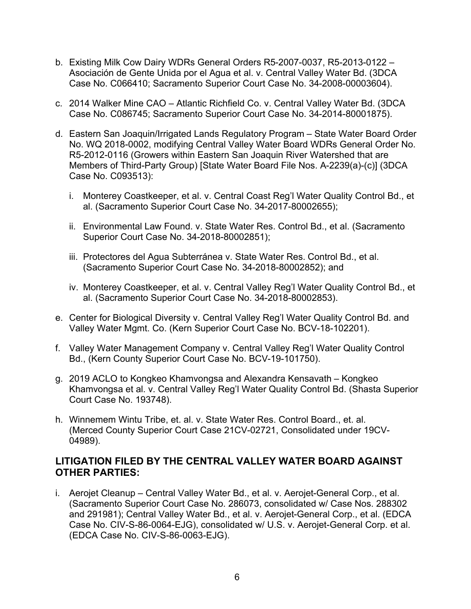- b. Existing Milk Cow Dairy WDRs General Orders R5-2007-0037, R5-2013-0122 Asociación de Gente Unida por el Agua et al. v. Central Valley Water Bd. (3DCA Case No. C066410; Sacramento Superior Court Case No. 34-2008-00003604).
- c. 2014 Walker Mine CAO Atlantic Richfield Co. v. Central Valley Water Bd. (3DCA Case No. C086745; Sacramento Superior Court Case No. 34-2014-80001875).
- d. Eastern San Joaquin/Irrigated Lands Regulatory Program State Water Board Order No. WQ 2018-0002, modifying Central Valley Water Board WDRs General Order No. R5-2012-0116 (Growers within Eastern San Joaquin River Watershed that are Members of Third-Party Group) [State Water Board File Nos. A-2239(a)-(c)] (3DCA Case No. C093513):
	- i. Monterey Coastkeeper, et al. v. Central Coast Reg'l Water Quality Control Bd., et al. (Sacramento Superior Court Case No. 34-2017-80002655);
	- ii. Environmental Law Found. v. State Water Res. Control Bd., et al. (Sacramento Superior Court Case No. 34-2018-80002851);
	- iii. Protectores del Agua Subterránea v. State Water Res. Control Bd., et al. (Sacramento Superior Court Case No. 34-2018-80002852); and
	- iv. Monterey Coastkeeper, et al. v. Central Valley Reg'l Water Quality Control Bd., et al. (Sacramento Superior Court Case No. 34-2018-80002853).
- e. Center for Biological Diversity v. Central Valley Reg'l Water Quality Control Bd. and Valley Water Mgmt. Co. (Kern Superior Court Case No. BCV-18-102201).
- f. Valley Water Management Company v. Central Valley Reg'l Water Quality Control Bd., (Kern County Superior Court Case No. BCV-19-101750).
- g. 2019 ACLO to Kongkeo Khamvongsa and Alexandra Kensavath Kongkeo Khamvongsa et al. v. Central Valley Reg'l Water Quality Control Bd. (Shasta Superior Court Case No. 193748).
- h. Winnemem Wintu Tribe, et. al. v. State Water Res. Control Board., et. al. (Merced County Superior Court Case 21CV-02721, Consolidated under 19CV-04989).

#### **LITIGATION FILED BY THE CENTRAL VALLEY WATER BOARD AGAINST OTHER PARTIES:**

i. Aerojet Cleanup – Central Valley Water Bd., et al. v. Aerojet-General Corp., et al. (Sacramento Superior Court Case No. 286073, consolidated w/ Case Nos. 288302 and 291981); Central Valley Water Bd., et al. v. Aerojet-General Corp., et al. (EDCA Case No. CIV-S-86-0064-EJG), consolidated w/ U.S. v. Aerojet-General Corp. et al. (EDCA Case No. CIV-S-86-0063-EJG).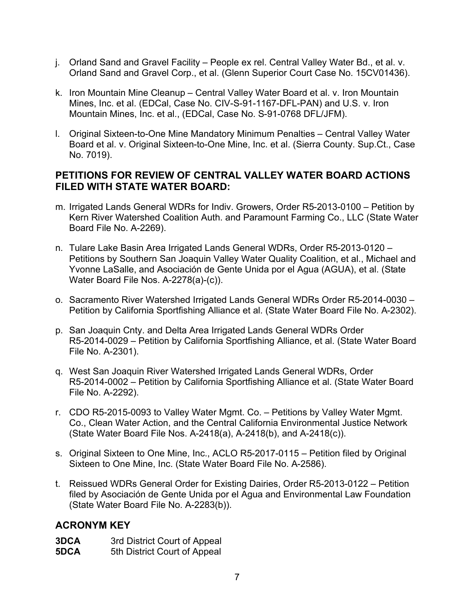- j. Orland Sand and Gravel Facility People ex rel. Central Valley Water Bd., et al. v. Orland Sand and Gravel Corp., et al. (Glenn Superior Court Case No. 15CV01436).
- k. Iron Mountain Mine Cleanup Central Valley Water Board et al. v. Iron Mountain Mines, Inc. et al. (EDCal, Case No. CIV-S-91-1167-DFL-PAN) and U.S. v. Iron Mountain Mines, Inc. et al., (EDCal, Case No. S-91-0768 DFL/JFM).
- l. Original Sixteen-to-One Mine Mandatory Minimum Penalties Central Valley Water Board et al. v. Original Sixteen-to-One Mine, Inc. et al. (Sierra County. Sup.Ct., Case No. 7019).

#### **PETITIONS FOR REVIEW OF CENTRAL VALLEY WATER BOARD ACTIONS FILED WITH STATE WATER BOARD:**

- m. Irrigated Lands General WDRs for Indiv. Growers, Order R5-2013-0100 Petition by Kern River Watershed Coalition Auth. and Paramount Farming Co., LLC (State Water Board File No. A-2269).
- n. Tulare Lake Basin Area Irrigated Lands General WDRs, Order R5-2013-0120 Petitions by Southern San Joaquin Valley Water Quality Coalition, et al., Michael and Yvonne LaSalle, and Asociación de Gente Unida por el Agua (AGUA), et al. (State Water Board File Nos. A-2278(a)-(c)).
- o. Sacramento River Watershed Irrigated Lands General WDRs Order R5-2014-0030 Petition by California Sportfishing Alliance et al. (State Water Board File No. A-2302).
- p. San Joaquin Cnty. and Delta Area Irrigated Lands General WDRs Order R5-2014-0029 – Petition by California Sportfishing Alliance, et al. (State Water Board File No. A-2301).
- q. West San Joaquin River Watershed Irrigated Lands General WDRs, Order R5-2014-0002 – Petition by California Sportfishing Alliance et al. (State Water Board File No. A-2292).
- r. CDO R5-2015-0093 to Valley Water Mgmt. Co. Petitions by Valley Water Mgmt. Co., Clean Water Action, and the Central California Environmental Justice Network (State Water Board File Nos. A-2418(a), A-2418(b), and A-2418(c)).
- s. Original Sixteen to One Mine, Inc., ACLO R5-2017-0115 Petition filed by Original Sixteen to One Mine, Inc. (State Water Board File No. A-2586).
- t. Reissued WDRs General Order for Existing Dairies, Order R5-2013-0122 Petition filed by Asociación de Gente Unida por el Agua and Environmental Law Foundation (State Water Board File No. A-2283(b)).

#### **ACRONYM KEY**

**3DCA** 3rd District Court of Appeal

**5DCA** 5th District Court of Appeal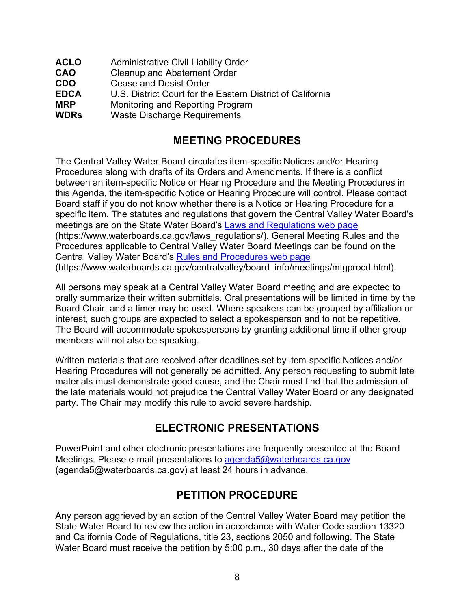| <b>ACLO</b> | <b>Administrative Civil Liability Order</b>                |
|-------------|------------------------------------------------------------|
| <b>CAO</b>  | <b>Cleanup and Abatement Order</b>                         |
| <b>CDO</b>  | <b>Cease and Desist Order</b>                              |
| <b>EDCA</b> | U.S. District Court for the Eastern District of California |
| <b>MRP</b>  | Monitoring and Reporting Program                           |
| <b>WDRs</b> | <b>Waste Discharge Requirements</b>                        |

## **MEETING PROCEDURES**

The Central Valley Water Board circulates item-specific Notices and/or Hearing Procedures along with drafts of its Orders and Amendments. If there is a conflict between an item-specific Notice or Hearing Procedure and the Meeting Procedures in this Agenda, the item-specific Notice or Hearing Procedure will control. Please contact Board staff if you do not know whether there is a Notice or Hearing Procedure for a specific item. The statutes and regulations that govern the Central Valley Water Board's meetings are on the State Water Board's [Laws and Regulations web page](https://www.waterboards.ca.gov/laws_regulations/) (https://www.waterboards.ca.gov/laws\_regulations/). General Meeting Rules and the Procedures applicable to Central Valley Water Board Meetings can be found on the Central Valley Water Board's [Rules and Procedures web page](https://www.waterboards.ca.gov/centralvalley/board_info/meetings/mtgprocd.html) (https://www.waterboards.ca.gov/centralvalley/board\_info/meetings/mtgprocd.html).

All persons may speak at a Central Valley Water Board meeting and are expected to orally summarize their written submittals. Oral presentations will be limited in time by the Board Chair, and a timer may be used. Where speakers can be grouped by affiliation or interest, such groups are expected to select a spokesperson and to not be repetitive. The Board will accommodate spokespersons by granting additional time if other group members will not also be speaking.

Written materials that are received after deadlines set by item-specific Notices and/or Hearing Procedures will not generally be admitted. Any person requesting to submit late materials must demonstrate good cause, and the Chair must find that the admission of the late materials would not prejudice the Central Valley Water Board or any designated party. The Chair may modify this rule to avoid severe hardship.

## **ELECTRONIC PRESENTATIONS**

PowerPoint and other electronic presentations are frequently presented at the Board Meetings. Please e-mail presentations to [agenda5@waterboards.ca.gov](mailto:agenda5@waterboards.ca.gov) (agenda5@waterboards.ca.gov) at least 24 hours in advance.

## **PETITION PROCEDURE**

Any person aggrieved by an action of the Central Valley Water Board may petition the State Water Board to review the action in accordance with Water Code section 13320 and California Code of Regulations, title 23, sections 2050 and following. The State Water Board must receive the petition by 5:00 p.m., 30 days after the date of the